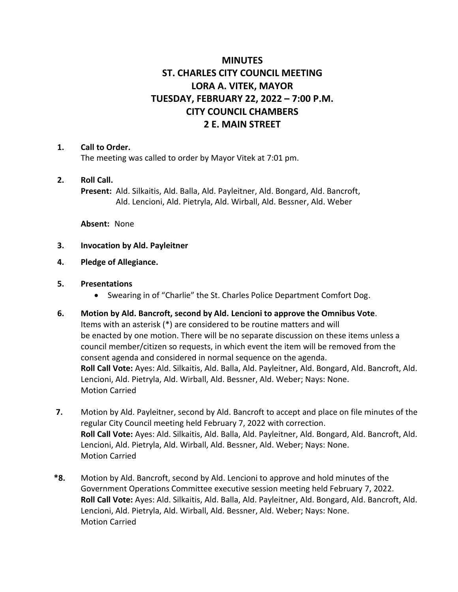# **MINUTES ST. CHARLES CITY COUNCIL MEETING LORA A. VITEK, MAYOR TUESDAY, FEBRUARY 22, 2022 – 7:00 P.M. CITY COUNCIL CHAMBERS 2 E. MAIN STREET**

### **1. Call to Order.**

The meeting was called to order by Mayor Vitek at 7:01 pm.

### **2. Roll Call.**

**Present:** Ald. Silkaitis, Ald. Balla, Ald. Payleitner, Ald. Bongard, Ald. Bancroft, Ald. Lencioni, Ald. Pietryla, Ald. Wirball, Ald. Bessner, Ald. Weber

**Absent:** None

### **3. Invocation by Ald. Payleitner**

- **4. Pledge of Allegiance.**
- **5. Presentations**
	- Swearing in of "Charlie" the St. Charles Police Department Comfort Dog.
- **6. Motion by Ald. Bancroft, second by Ald. Lencioni to approve the Omnibus Vote**. Items with an asterisk (\*) are considered to be routine matters and will be enacted by one motion. There will be no separate discussion on these items unless a council member/citizen so requests, in which event the item will be removed from the consent agenda and considered in normal sequence on the agenda. **Roll Call Vote:** Ayes: Ald. Silkaitis, Ald. Balla, Ald. Payleitner, Ald. Bongard, Ald. Bancroft, Ald. Lencioni, Ald. Pietryla, Ald. Wirball, Ald. Bessner, Ald. Weber; Nays: None. Motion Carried
- **7.** Motion by Ald. Payleitner, second by Ald. Bancroft to accept and place on file minutes of the regular City Council meeting held February 7, 2022 with correction. **Roll Call Vote:** Ayes: Ald. Silkaitis, Ald. Balla, Ald. Payleitner, Ald. Bongard, Ald. Bancroft, Ald. Lencioni, Ald. Pietryla, Ald. Wirball, Ald. Bessner, Ald. Weber; Nays: None. Motion Carried
- **\*8.** Motion by Ald. Bancroft, second by Ald. Lencioni to approve and hold minutes of the Government Operations Committee executive session meeting held February 7, 2022. **Roll Call Vote:** Ayes: Ald. Silkaitis, Ald. Balla, Ald. Payleitner, Ald. Bongard, Ald. Bancroft, Ald. Lencioni, Ald. Pietryla, Ald. Wirball, Ald. Bessner, Ald. Weber; Nays: None. Motion Carried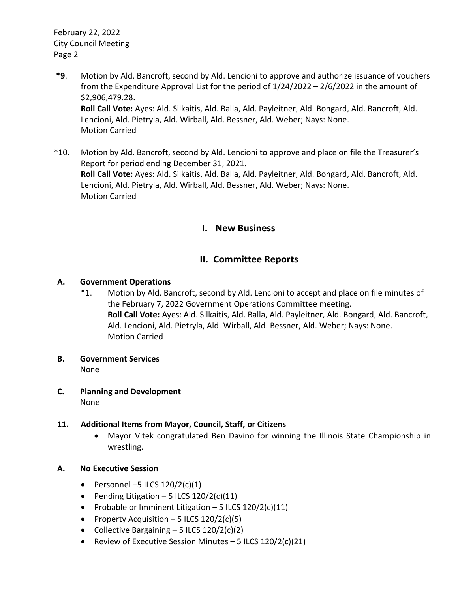February 22, 2022 City Council Meeting Page 2

- **\*9**. Motion by Ald. Bancroft, second by Ald. Lencioni to approve and authorize issuance of vouchers from the Expenditure Approval List for the period of 1/24/2022 – 2/6/2022 in the amount of \$2,906,479.28. **Roll Call Vote:** Ayes: Ald. Silkaitis, Ald. Balla, Ald. Payleitner, Ald. Bongard, Ald. Bancroft, Ald. Lencioni, Ald. Pietryla, Ald. Wirball, Ald. Bessner, Ald. Weber; Nays: None. Motion Carried
- \*10. Motion by Ald. Bancroft, second by Ald. Lencioni to approve and place on file the Treasurer's Report for period ending December 31, 2021. **Roll Call Vote:** Ayes: Ald. Silkaitis, Ald. Balla, Ald. Payleitner, Ald. Bongard, Ald. Bancroft, Ald. Lencioni, Ald. Pietryla, Ald. Wirball, Ald. Bessner, Ald. Weber; Nays: None. Motion Carried

### **I. New Business**

## **II. Committee Reports**

### **A. Government Operations**

- \*1. Motion by Ald. Bancroft, second by Ald. Lencioni to accept and place on file minutes of the February 7, 2022 Government Operations Committee meeting. **Roll Call Vote:** Ayes: Ald. Silkaitis, Ald. Balla, Ald. Payleitner, Ald. Bongard, Ald. Bancroft, Ald. Lencioni, Ald. Pietryla, Ald. Wirball, Ald. Bessner, Ald. Weber; Nays: None. Motion Carried
- **B. Government Services** None
- **C. Planning and Development** None

### **11. Additional Items from Mayor, Council, Staff, or Citizens**

- Mayor Vitek congratulated Ben Davino for winning the Illinois State Championship in wrestling.
- **A. No Executive Session**
	- Personnel –5 ILCS  $120/2(c)(1)$
	- Pending Litigation 5 ILCS  $120/2(c)(11)$
	- Probable or Imminent Litigation  $-5$  ILCS 120/2(c)(11)
	- Property Acquisition 5 ILCS  $120/2(c)(5)$
	- Collective Bargaining  $-5$  ILCS  $120/2(c)(2)$
	- Review of Executive Session Minutes  $-5$  ILCS  $120/2(c)(21)$